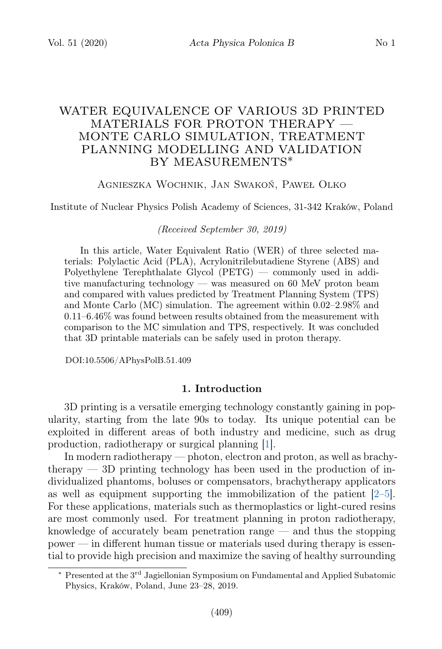# WATER EQUIVALENCE OF VARIOUS 3D PRINTED MATERIALS FOR PROTON THERAPY — MONTE CARLO SIMULATION, TREATMENT PLANNING MODELLING AND VALIDATION BY MEASUREMENTS∗

#### Agnieszka Wochnik, Jan Swakoń, Paweł Olko

Institute of Nuclear Physics Polish Academy of Sciences, 31-342 Kraków, Poland

(Received September 30, 2019)

In this article, Water Equivalent Ratio (WER) of three selected materials: Polylactic Acid (PLA), Acrylonitrilebutadiene Styrene (ABS) and Polyethylene Terephthalate Glycol (PETG) — commonly used in additive manufacturing technology — was measured on 60 MeV proton beam and compared with values predicted by Treatment Planning System (TPS) and Monte Carlo (MC) simulation. The agreement within 0.02–2.98% and  $0.11-6.46\%$  was found between results obtained from the measurement with comparison to the MC simulation and TPS, respectively. It was concluded that 3D printable materials can be safely used in proton therapy.

DOI:10.5506/APhysPolB.51.409

### 1. Introduction

3D printing is a versatile emerging technology constantly gaining in popularity, starting from the late 90s to today. Its unique potential can be exploited in different areas of both industry and medicine, such as drug production, radiotherapy or surgical planning [\[1\]](#page-3-0).

In modern radiotherapy — photon, electron and proton, as well as brachy- $\mu$  therapy  $-3D$  printing technology has been used in the production of individualized phantoms, boluses or compensators, brachytherapy applicators as well as equipment supporting the immobilization of the patient [\[2–](#page-3-1)[5\]](#page-3-2). For these applications, materials such as thermoplastics or light-cured resins are most commonly used. For treatment planning in proton radiotherapy, knowledge of accurately beam penetration range  $-$  and thus the stopping power — in different human tissue or materials used during therapy is essential to provide high precision and maximize the saving of healthy surrounding

<sup>∗</sup> Presented at the 3 rd Jagiellonian Symposium on Fundamental and Applied Subatomic Physics, Kraków, Poland, June 23–28, 2019.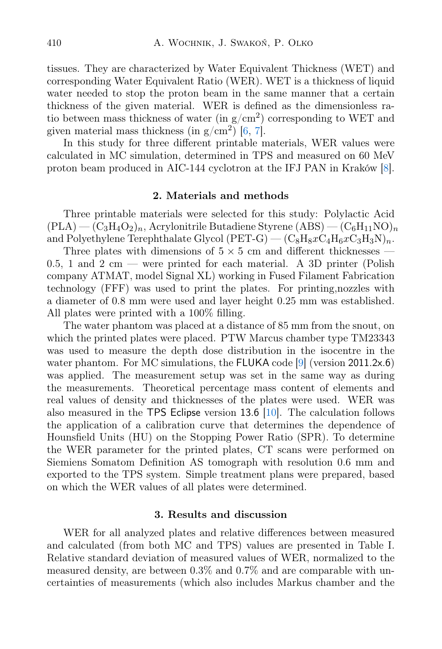tissues. They are characterized by Water Equivalent Thickness (WET) and corresponding Water Equivalent Ratio (WER). WET is a thickness of liquid water needed to stop the proton beam in the same manner that a certain thickness of the given material. WER is defined as the dimensionless ratio between mass thickness of water (in  $g/cm^2$ ) corresponding to WET and given material mass thickness (in  $g/cm^2$ ) [\[6,](#page-3-3) [7\]](#page-3-4).

In this study for three different printable materials, WER values were calculated in MC simulation, determined in TPS and measured on 60 MeV proton beam produced in AIC-144 cyclotron at the IFJ PAN in Kraków [\[8\]](#page-3-5).

## 2. Materials and methods

Three printable materials were selected for this study: Polylactic Acid  $(PLA)$  —  $(C_3H_4O_2)_n$ , Acrylonitrile Butadiene Styrene  $(ABS)$  —  $(C_6H_{11}NO)_n$ and Polyethylene Terephthalate Glycol (PET-G) —  $\left(C_8H_8xC_4H_6xC_3H_3N\right)_n$ .

Three plates with dimensions of  $5 \times 5$  cm and different thicknesses — 0.5, 1 and 2 cm — were printed for each material. A 3D printer (Polish company ATMAT, model Signal XL) working in Fused Filament Fabrication technology (FFF) was used to print the plates. For printing,nozzles with a diameter of 0.8 mm were used and layer height 0.25 mm was established. All plates were printed with a 100% filling.

The water phantom was placed at a distance of 85 mm from the snout, on which the printed plates were placed. PTW Marcus chamber type TM23343 was used to measure the depth dose distribution in the isocentre in the water phantom. For MC simulations, the FLUKA code [\[9\]](#page-3-6) (version 2011.2x.6) was applied. The measurement setup was set in the same way as during the measurements. Theoretical percentage mass content of elements and real values of density and thicknesses of the plates were used. WER was also measured in the TPS Eclipse version 13.6 [\[10\]](#page-3-7). The calculation follows the application of a calibration curve that determines the dependence of Hounsfield Units (HU) on the Stopping Power Ratio (SPR). To determine the WER parameter for the printed plates, CT scans were performed on Siemiens Somatom Definition AS tomograph with resolution 0.6 mm and exported to the TPS system. Simple treatment plans were prepared, based on which the WER values of all plates were determined.

#### 3. Results and discussion

WER for all analyzed plates and relative differences between measured and calculated (from both MC and TPS) values are presented in Table I. Relative standard deviation of measured values of WER, normalized to the measured density, are between 0.3% and 0.7% and are comparable with uncertainties of measurements (which also includes Markus chamber and the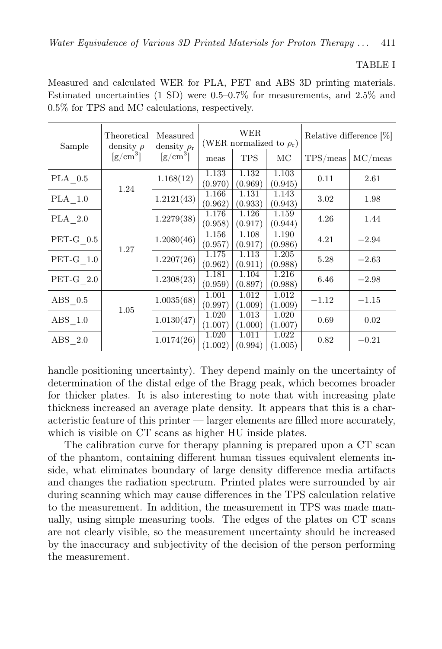## TABLE I

Measured and calculated WER for PLA, PET and ABS 3D printing materials. Estimated uncertainties (1 SD) were 0.5–0.7% for measurements, and 2.5% and 0.5% for TPS and MC calculations, respectively.

| Sample                 | Theoretical<br>density $\rho$<br>$\left[\text{g/cm}^3\right]$ | Measured<br>density $\rho_r$<br>$\rm [g/cm^3]$ | <b>WER</b><br>(WER normalized to $\rho_{\rm r}$ ) |                  |                  | Relative difference [%] |         |
|------------------------|---------------------------------------------------------------|------------------------------------------------|---------------------------------------------------|------------------|------------------|-------------------------|---------|
|                        |                                                               |                                                | meas                                              | <b>TPS</b>       | МC               | TPS/meas                | MC/meas |
| PLA 0.5                | 1.24                                                          | 1.168(12)                                      | 1.133<br>(0.970)                                  | 1.132<br>(0.969) | 1.103<br>(0.945) | 0.11                    | 2.61    |
| PLA 1.0                |                                                               | 1.2121(43)                                     | 1.166<br>(0.962)                                  | 1.131<br>(0.933) | 1.143<br>(0.943) | 3.02                    | 1.98    |
| PLA 2.0                |                                                               | 1.2279(38)                                     | 1.176<br>(0.958)                                  | 1.126<br>(0.917) | 1.159<br>(0.944) | 4.26                    | 1.44    |
| $PET-G$ 0.5            | 1.27                                                          | 1.2080(46)                                     | 1.156<br>(0.957)                                  | 1.108<br>(0.917) | 1.190<br>(0.986) | 4.21                    | $-2.94$ |
| $PET-G$ 1.0            |                                                               | 1.2207(26)                                     | 1.175<br>(0.962)                                  | 1.113<br>(0.911) | 1.205<br>(0.988) | 5.28                    | $-2.63$ |
| $PET-G$ 2.0            |                                                               | 1.2308(23)                                     | 1.181<br>(0.959)                                  | 1.104<br>(0.897) | 1.216<br>(0.988) | 6.46                    | $-2.98$ |
| $\text{ABS} \quad 0.5$ | 1.05                                                          | 1.0035(68)                                     | 1.001<br>(0.997)                                  | 1.012<br>(1.009) | 1.012<br>(1.009) | $-1.12$                 | $-1.15$ |
| ABS 1.0                |                                                               | 1.0130(47)                                     | 1.020<br>(1.007)                                  | 1.013<br>(1.000) | 1.020<br>(1.007) | 0.69                    | 0.02    |
| ABS 2.0                |                                                               | 1.0174(26)                                     | 1.020<br>(1.002)                                  | 1.011<br>(0.994) | 1.022<br>(1.005) | 0.82                    | $-0.21$ |

handle positioning uncertainty). They depend mainly on the uncertainty of determination of the distal edge of the Bragg peak, which becomes broader for thicker plates. It is also interesting to note that with increasing plate thickness increased an average plate density. It appears that this is a characteristic feature of this printer — larger elements are filled more accurately, which is visible on CT scans as higher HU inside plates.

The calibration curve for therapy planning is prepared upon a CT scan of the phantom, containing different human tissues equivalent elements inside, what eliminates boundary of large density difference media artifacts and changes the radiation spectrum. Printed plates were surrounded by air during scanning which may cause differences in the TPS calculation relative to the measurement. In addition, the measurement in TPS was made manually, using simple measuring tools. The edges of the plates on CT scans are not clearly visible, so the measurement uncertainty should be increased by the inaccuracy and subjectivity of the decision of the person performing the measurement.